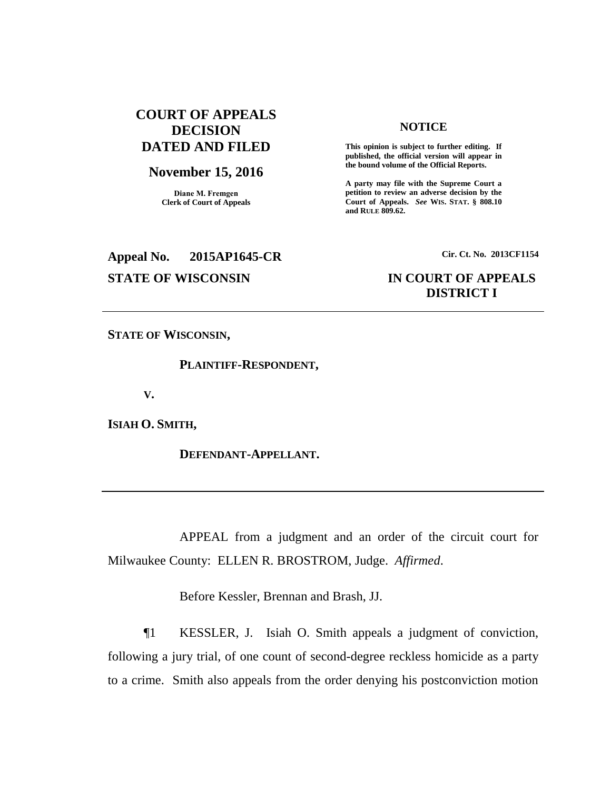# **COURT OF APPEALS DECISION DATED AND FILED**

#### **November 15, 2016**

**Diane M. Fremgen Clerk of Court of Appeals**

# **NOTICE**

**This opinion is subject to further editing. If published, the official version will appear in the bound volume of the Official Reports.** 

**A party may file with the Supreme Court a petition to review an adverse decision by the Court of Appeals.** *See* **WIS. STAT. § 808.10 and RULE 809.62.** 

# **Appeal No. 2015AP1645-CR Cir. Ct. No. 2013CF1154**

# **STATE OF WISCONSIN IN COURT OF APPEALS DISTRICT I**

**STATE OF WISCONSIN,**

**PLAINTIFF-RESPONDENT,**

**V.**

**ISIAH O. SMITH,**

**DEFENDANT-APPELLANT.**

APPEAL from a judgment and an order of the circuit court for Milwaukee County: ELLEN R. BROSTROM, Judge. *Affirmed*.

Before Kessler, Brennan and Brash, JJ.

¶1 KESSLER, J. Isiah O. Smith appeals a judgment of conviction, following a jury trial, of one count of second-degree reckless homicide as a party to a crime. Smith also appeals from the order denying his postconviction motion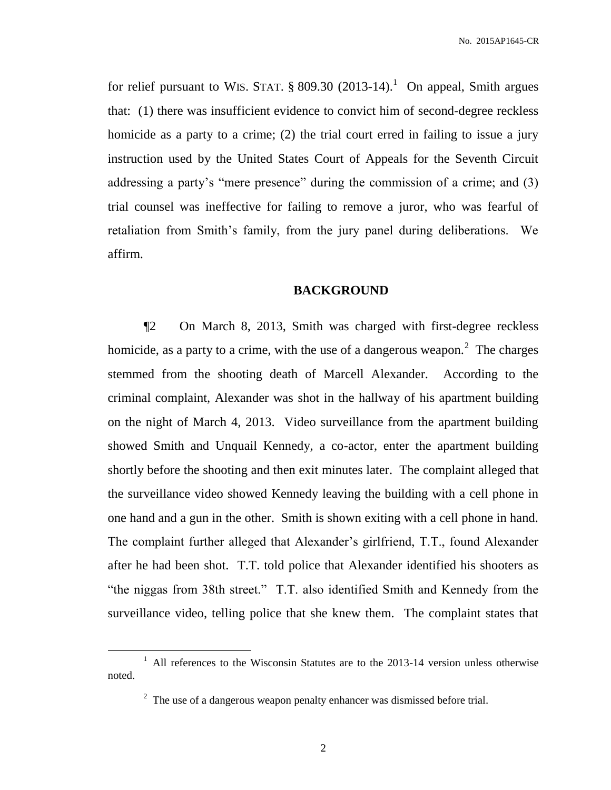for relief pursuant to WIS. STAT.  $\S 809.30$  (2013-14).<sup>1</sup> On appeal, Smith argues that: (1) there was insufficient evidence to convict him of second-degree reckless homicide as a party to a crime; (2) the trial court erred in failing to issue a jury instruction used by the United States Court of Appeals for the Seventh Circuit addressing a party's "mere presence" during the commission of a crime; and (3) trial counsel was ineffective for failing to remove a juror, who was fearful of retaliation from Smith's family, from the jury panel during deliberations. We affirm.

## **BACKGROUND**

¶2 On March 8, 2013, Smith was charged with first-degree reckless homicide, as a party to a crime, with the use of a dangerous weapon.<sup>2</sup> The charges stemmed from the shooting death of Marcell Alexander. According to the criminal complaint, Alexander was shot in the hallway of his apartment building on the night of March 4, 2013. Video surveillance from the apartment building showed Smith and Unquail Kennedy, a co-actor, enter the apartment building shortly before the shooting and then exit minutes later. The complaint alleged that the surveillance video showed Kennedy leaving the building with a cell phone in one hand and a gun in the other. Smith is shown exiting with a cell phone in hand. The complaint further alleged that Alexander's girlfriend, T.T., found Alexander after he had been shot. T.T. told police that Alexander identified his shooters as "the niggas from 38th street." T.T. also identified Smith and Kennedy from the surveillance video, telling police that she knew them. The complaint states that

 $\overline{a}$ 

<sup>&</sup>lt;sup>1</sup> All references to the Wisconsin Statutes are to the 2013-14 version unless otherwise noted.

 $2<sup>2</sup>$  The use of a dangerous weapon penalty enhancer was dismissed before trial.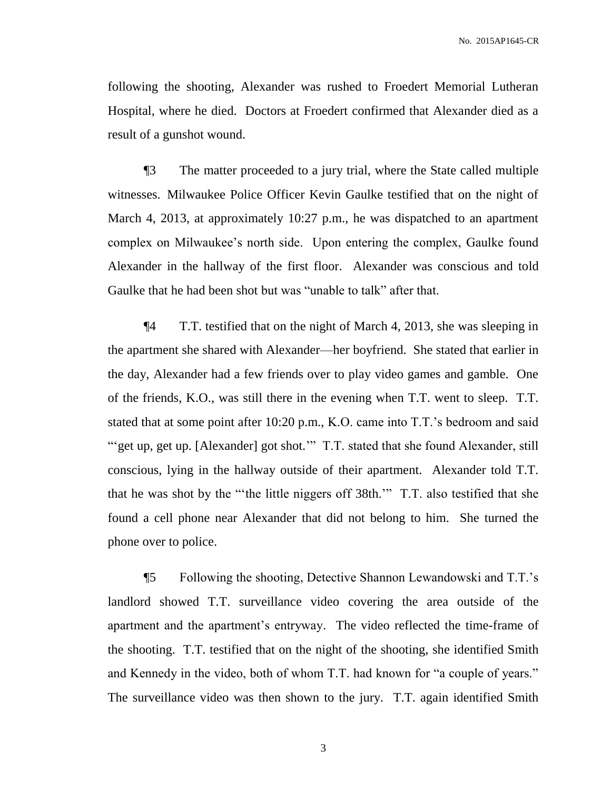following the shooting, Alexander was rushed to Froedert Memorial Lutheran Hospital, where he died. Doctors at Froedert confirmed that Alexander died as a result of a gunshot wound.

¶3 The matter proceeded to a jury trial, where the State called multiple witnesses. Milwaukee Police Officer Kevin Gaulke testified that on the night of March 4, 2013, at approximately 10:27 p.m., he was dispatched to an apartment complex on Milwaukee's north side. Upon entering the complex, Gaulke found Alexander in the hallway of the first floor. Alexander was conscious and told Gaulke that he had been shot but was "unable to talk" after that.

¶4 T.T. testified that on the night of March 4, 2013, she was sleeping in the apartment she shared with Alexander—her boyfriend. She stated that earlier in the day, Alexander had a few friends over to play video games and gamble. One of the friends, K.O., was still there in the evening when T.T. went to sleep. T.T. stated that at some point after 10:20 p.m., K.O. came into T.T.'s bedroom and said "'get up, get up. [Alexander] got shot." T.T. stated that she found Alexander, still conscious, lying in the hallway outside of their apartment. Alexander told T.T. that he was shot by the "'the little niggers off 38th.'" T.T. also testified that she found a cell phone near Alexander that did not belong to him. She turned the phone over to police.

¶5 Following the shooting, Detective Shannon Lewandowski and T.T.'s landlord showed T.T. surveillance video covering the area outside of the apartment and the apartment's entryway. The video reflected the time-frame of the shooting. T.T. testified that on the night of the shooting, she identified Smith and Kennedy in the video, both of whom T.T. had known for "a couple of years." The surveillance video was then shown to the jury. T.T. again identified Smith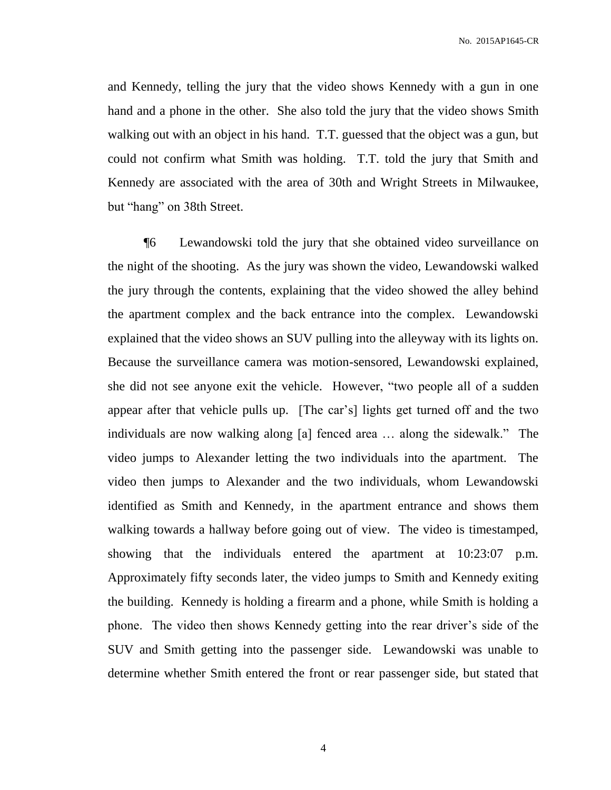and Kennedy, telling the jury that the video shows Kennedy with a gun in one hand and a phone in the other. She also told the jury that the video shows Smith walking out with an object in his hand. T.T. guessed that the object was a gun, but could not confirm what Smith was holding. T.T. told the jury that Smith and Kennedy are associated with the area of 30th and Wright Streets in Milwaukee, but "hang" on 38th Street.

¶6 Lewandowski told the jury that she obtained video surveillance on the night of the shooting. As the jury was shown the video, Lewandowski walked the jury through the contents, explaining that the video showed the alley behind the apartment complex and the back entrance into the complex. Lewandowski explained that the video shows an SUV pulling into the alleyway with its lights on. Because the surveillance camera was motion-sensored, Lewandowski explained, she did not see anyone exit the vehicle. However, "two people all of a sudden appear after that vehicle pulls up. [The car's] lights get turned off and the two individuals are now walking along [a] fenced area … along the sidewalk." The video jumps to Alexander letting the two individuals into the apartment. The video then jumps to Alexander and the two individuals, whom Lewandowski identified as Smith and Kennedy, in the apartment entrance and shows them walking towards a hallway before going out of view. The video is timestamped, showing that the individuals entered the apartment at 10:23:07 p.m. Approximately fifty seconds later, the video jumps to Smith and Kennedy exiting the building. Kennedy is holding a firearm and a phone, while Smith is holding a phone. The video then shows Kennedy getting into the rear driver's side of the SUV and Smith getting into the passenger side. Lewandowski was unable to determine whether Smith entered the front or rear passenger side, but stated that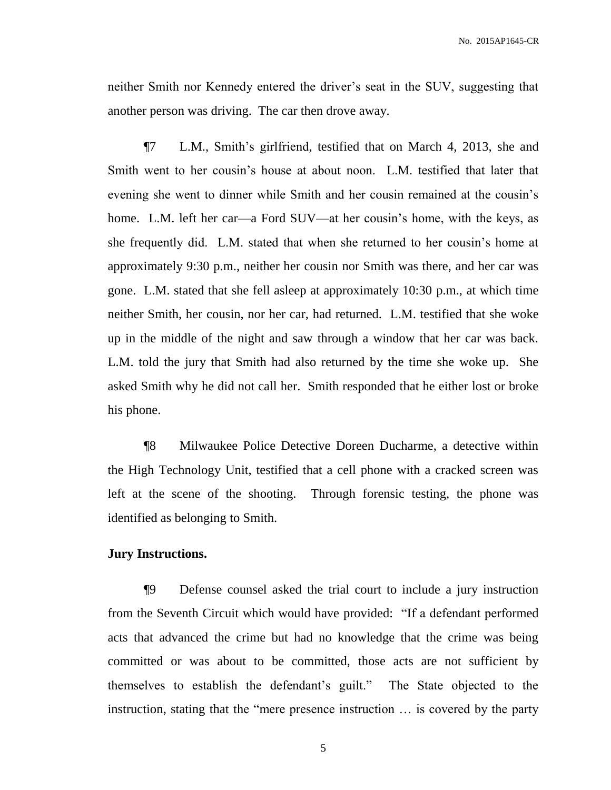neither Smith nor Kennedy entered the driver's seat in the SUV, suggesting that another person was driving. The car then drove away.

¶7 L.M., Smith's girlfriend, testified that on March 4, 2013, she and Smith went to her cousin's house at about noon. L.M. testified that later that evening she went to dinner while Smith and her cousin remained at the cousin's home. L.M. left her car—a Ford SUV—at her cousin's home, with the keys, as she frequently did. L.M. stated that when she returned to her cousin's home at approximately 9:30 p.m., neither her cousin nor Smith was there, and her car was gone. L.M. stated that she fell asleep at approximately 10:30 p.m., at which time neither Smith, her cousin, nor her car, had returned. L.M. testified that she woke up in the middle of the night and saw through a window that her car was back. L.M. told the jury that Smith had also returned by the time she woke up. She asked Smith why he did not call her. Smith responded that he either lost or broke his phone.

¶8 Milwaukee Police Detective Doreen Ducharme, a detective within the High Technology Unit, testified that a cell phone with a cracked screen was left at the scene of the shooting. Through forensic testing, the phone was identified as belonging to Smith.

# **Jury Instructions.**

¶9 Defense counsel asked the trial court to include a jury instruction from the Seventh Circuit which would have provided: "If a defendant performed acts that advanced the crime but had no knowledge that the crime was being committed or was about to be committed, those acts are not sufficient by themselves to establish the defendant's guilt." The State objected to the instruction, stating that the "mere presence instruction … is covered by the party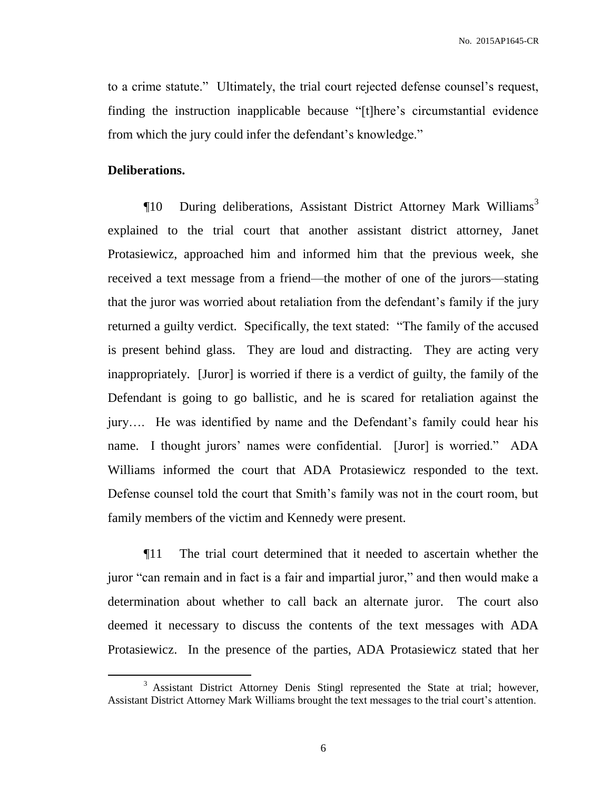to a crime statute." Ultimately, the trial court rejected defense counsel's request, finding the instruction inapplicable because "[t]here's circumstantial evidence from which the jury could infer the defendant's knowledge."

## **Deliberations.**

 $\overline{a}$ 

 $\P$ 10 During deliberations, Assistant District Attorney Mark Williams<sup>3</sup> explained to the trial court that another assistant district attorney, Janet Protasiewicz, approached him and informed him that the previous week, she received a text message from a friend—the mother of one of the jurors—stating that the juror was worried about retaliation from the defendant's family if the jury returned a guilty verdict. Specifically, the text stated: "The family of the accused is present behind glass. They are loud and distracting. They are acting very inappropriately. [Juror] is worried if there is a verdict of guilty, the family of the Defendant is going to go ballistic, and he is scared for retaliation against the jury…. He was identified by name and the Defendant's family could hear his name. I thought jurors' names were confidential. [Juror] is worried." ADA Williams informed the court that ADA Protasiewicz responded to the text. Defense counsel told the court that Smith's family was not in the court room, but family members of the victim and Kennedy were present.

¶11 The trial court determined that it needed to ascertain whether the juror "can remain and in fact is a fair and impartial juror," and then would make a determination about whether to call back an alternate juror. The court also deemed it necessary to discuss the contents of the text messages with ADA Protasiewicz. In the presence of the parties, ADA Protasiewicz stated that her

<sup>&</sup>lt;sup>3</sup> Assistant District Attorney Denis Stingl represented the State at trial; however, Assistant District Attorney Mark Williams brought the text messages to the trial court's attention.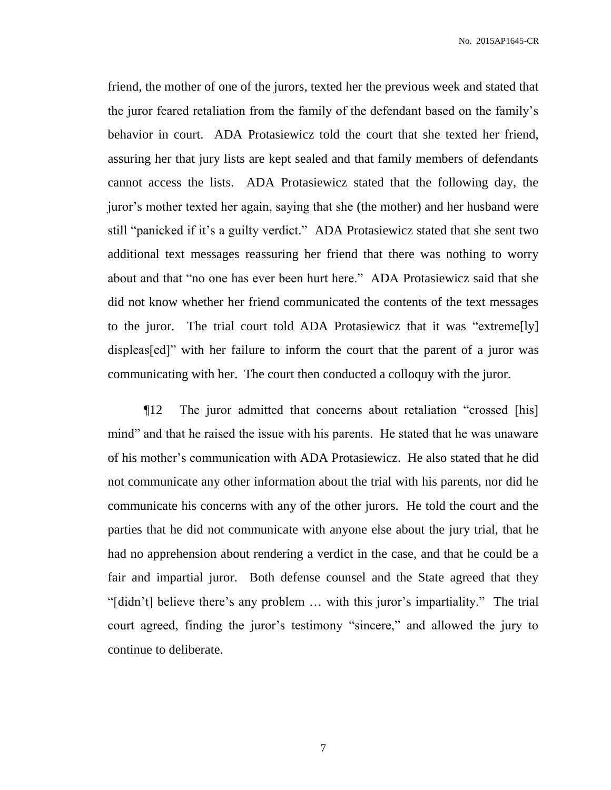friend, the mother of one of the jurors, texted her the previous week and stated that the juror feared retaliation from the family of the defendant based on the family's behavior in court. ADA Protasiewicz told the court that she texted her friend, assuring her that jury lists are kept sealed and that family members of defendants cannot access the lists. ADA Protasiewicz stated that the following day, the juror's mother texted her again, saying that she (the mother) and her husband were still "panicked if it's a guilty verdict." ADA Protasiewicz stated that she sent two additional text messages reassuring her friend that there was nothing to worry about and that "no one has ever been hurt here." ADA Protasiewicz said that she did not know whether her friend communicated the contents of the text messages to the juror. The trial court told ADA Protasiewicz that it was "extreme[ly] displeas[ed]" with her failure to inform the court that the parent of a juror was communicating with her. The court then conducted a colloquy with the juror.

¶12 The juror admitted that concerns about retaliation "crossed [his] mind" and that he raised the issue with his parents. He stated that he was unaware of his mother's communication with ADA Protasiewicz. He also stated that he did not communicate any other information about the trial with his parents, nor did he communicate his concerns with any of the other jurors. He told the court and the parties that he did not communicate with anyone else about the jury trial, that he had no apprehension about rendering a verdict in the case, and that he could be a fair and impartial juror. Both defense counsel and the State agreed that they "[didn't] believe there's any problem … with this juror's impartiality." The trial court agreed, finding the juror's testimony "sincere," and allowed the jury to continue to deliberate.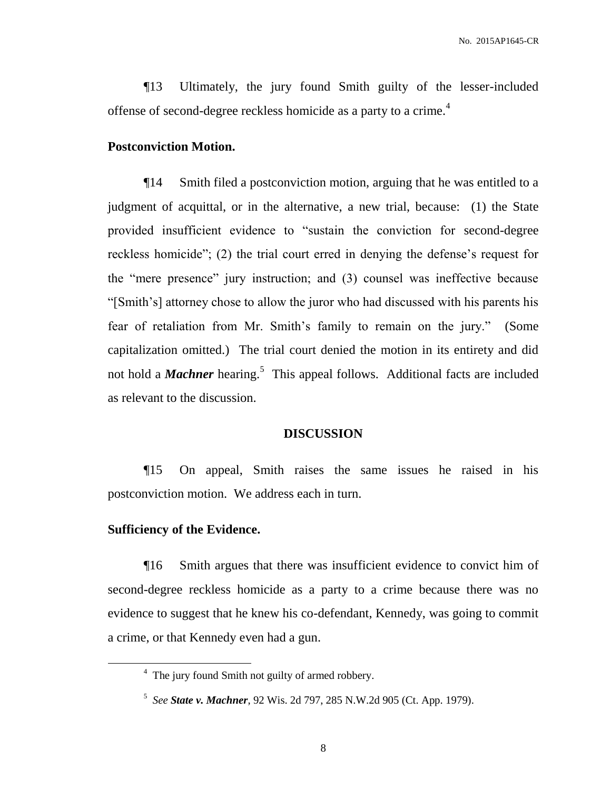¶13 Ultimately, the jury found Smith guilty of the lesser-included offense of second-degree reckless homicide as a party to a crime.<sup>4</sup>

#### **Postconviction Motion.**

¶14 Smith filed a postconviction motion, arguing that he was entitled to a judgment of acquittal, or in the alternative, a new trial, because: (1) the State provided insufficient evidence to "sustain the conviction for second-degree reckless homicide"; (2) the trial court erred in denying the defense's request for the "mere presence" jury instruction; and (3) counsel was ineffective because "[Smith's] attorney chose to allow the juror who had discussed with his parents his fear of retaliation from Mr. Smith's family to remain on the jury." (Some capitalization omitted.) The trial court denied the motion in its entirety and did not hold a *Machner* hearing.<sup>5</sup> This appeal follows. Additional facts are included as relevant to the discussion.

#### **DISCUSSION**

¶15 On appeal, Smith raises the same issues he raised in his postconviction motion. We address each in turn.

## **Sufficiency of the Evidence.**

 $\overline{a}$ 

¶16 Smith argues that there was insufficient evidence to convict him of second-degree reckless homicide as a party to a crime because there was no evidence to suggest that he knew his co-defendant, Kennedy, was going to commit a crime, or that Kennedy even had a gun.

<sup>&</sup>lt;sup>4</sup> The jury found Smith not guilty of armed robbery.

<sup>5</sup> *See State v. Machner*, 92 Wis. 2d 797, 285 N.W.2d 905 (Ct. App. 1979).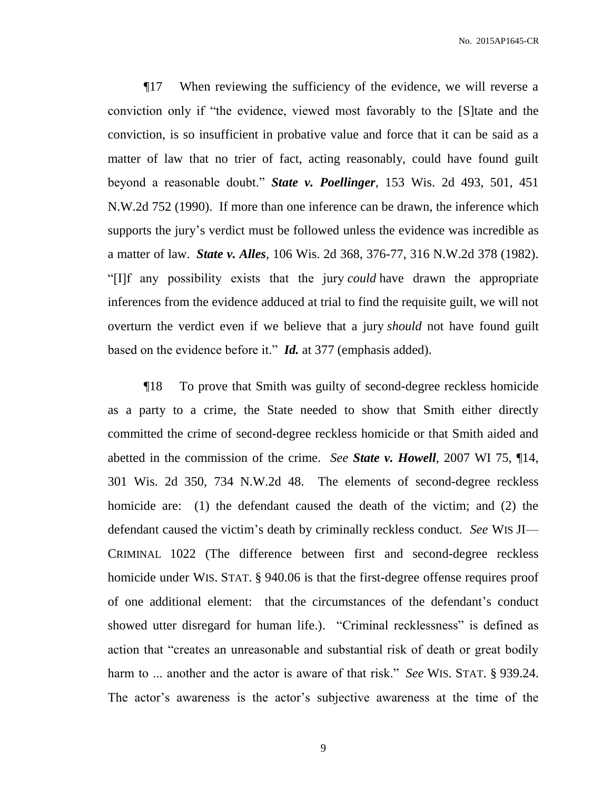¶17 When reviewing the sufficiency of the evidence, we will reverse a conviction only if "the evidence, viewed most favorably to the [S]tate and the conviction, is so insufficient in probative value and force that it can be said as a matter of law that no trier of fact, acting reasonably, could have found guilt beyond a reasonable doubt." *State v. Poellinger*, 153 Wis. 2d 493, 501, 451 N.W.2d 752 (1990). If more than one inference can be drawn, the inference which supports the jury's verdict must be followed unless the evidence was incredible as a matter of law. *State v. Alles*, 106 Wis. 2d 368, 376-77, 316 N.W.2d 378 (1982). "[I]f any possibility exists that the jury *could* have drawn the appropriate inferences from the evidence adduced at trial to find the requisite guilt, we will not overturn the verdict even if we believe that a jury *should* not have found guilt based on the evidence before it." *Id.* at 377 (emphasis added).

¶18 To prove that Smith was guilty of second-degree reckless homicide as a party to a crime, the State needed to show that Smith either directly committed the crime of second-degree reckless homicide or that Smith aided and abetted in the commission of the crime. *See State v. Howell*, 2007 WI 75, ¶14, 301 Wis. 2d 350, 734 N.W.2d 48. The elements of second-degree reckless homicide are: (1) the defendant caused the death of the victim; and (2) the defendant caused the victim's death by criminally reckless conduct. *See* WIS JI— CRIMINAL 1022 (The difference between first and second-degree reckless homicide under WIS. STAT. § 940.06 is that the first-degree offense requires proof of one additional element: that the circumstances of the defendant's conduct showed utter disregard for human life.). "Criminal recklessness" is defined as action that "creates an unreasonable and substantial risk of death or great bodily harm to ... another and the actor is aware of that risk." *See* WIS. STAT. § 939.24. The actor's awareness is the actor's subjective awareness at the time of the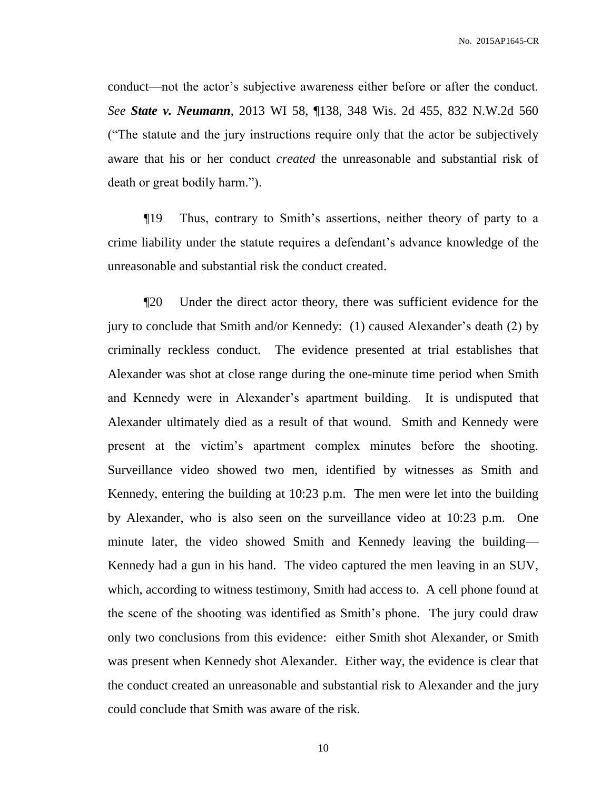conduct—not the actor's subjective awareness either before or after the conduct. *See State v. Neumann*, 2013 WI 58, ¶138, 348 Wis. 2d 455, 832 N.W.2d 560 ("The statute and the jury instructions require only that the actor be subjectively aware that his or her conduct *created* the unreasonable and substantial risk of death or great bodily harm.").

¶19 Thus, contrary to Smith's assertions, neither theory of party to a crime liability under the statute requires a defendant's advance knowledge of the unreasonable and substantial risk the conduct created.

¶20 Under the direct actor theory, there was sufficient evidence for the jury to conclude that Smith and/or Kennedy: (1) caused Alexander's death (2) by criminally reckless conduct. The evidence presented at trial establishes that Alexander was shot at close range during the one-minute time period when Smith and Kennedy were in Alexander's apartment building. It is undisputed that Alexander ultimately died as a result of that wound. Smith and Kennedy were present at the victim's apartment complex minutes before the shooting. Surveillance video showed two men, identified by witnesses as Smith and Kennedy, entering the building at 10:23 p.m. The men were let into the building by Alexander, who is also seen on the surveillance video at 10:23 p.m. One minute later, the video showed Smith and Kennedy leaving the building— Kennedy had a gun in his hand. The video captured the men leaving in an SUV, which, according to witness testimony, Smith had access to. A cell phone found at the scene of the shooting was identified as Smith's phone. The jury could draw only two conclusions from this evidence: either Smith shot Alexander, or Smith was present when Kennedy shot Alexander. Either way, the evidence is clear that the conduct created an unreasonable and substantial risk to Alexander and the jury could conclude that Smith was aware of the risk.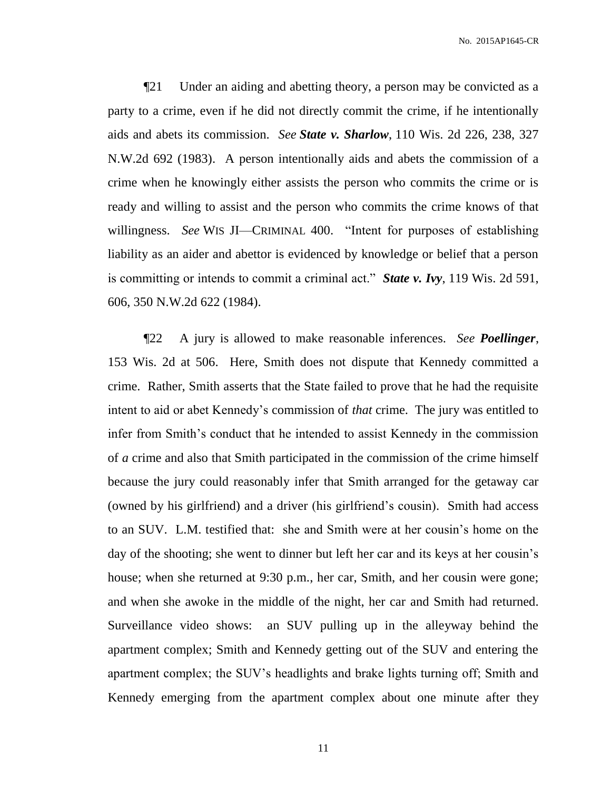¶21 Under an aiding and abetting theory, a person may be convicted as a party to a crime, even if he did not directly commit the crime, if he intentionally aids and abets its commission. *See State v. Sharlow*, 110 Wis. 2d 226, 238, 327 N.W.2d 692 (1983). A person intentionally aids and abets the commission of a crime when he knowingly either assists the person who commits the crime or is ready and willing to assist and the person who commits the crime knows of that willingness. *See* WIS JI—CRIMINAL 400. "Intent for purposes of establishing liability as an aider and abettor is evidenced by knowledge or belief that a person is committing or intends to commit a criminal act." *State v. Ivy*, 119 Wis. 2d 591, 606, 350 N.W.2d 622 (1984).

¶22 A jury is allowed to make reasonable inferences. *See Poellinger*, 153 Wis. 2d at 506. Here, Smith does not dispute that Kennedy committed a crime. Rather, Smith asserts that the State failed to prove that he had the requisite intent to aid or abet Kennedy's commission of *that* crime. The jury was entitled to infer from Smith's conduct that he intended to assist Kennedy in the commission of *a* crime and also that Smith participated in the commission of the crime himself because the jury could reasonably infer that Smith arranged for the getaway car (owned by his girlfriend) and a driver (his girlfriend's cousin). Smith had access to an SUV. L.M. testified that: she and Smith were at her cousin's home on the day of the shooting; she went to dinner but left her car and its keys at her cousin's house; when she returned at 9:30 p.m., her car, Smith, and her cousin were gone; and when she awoke in the middle of the night, her car and Smith had returned. Surveillance video shows: an SUV pulling up in the alleyway behind the apartment complex; Smith and Kennedy getting out of the SUV and entering the apartment complex; the SUV's headlights and brake lights turning off; Smith and Kennedy emerging from the apartment complex about one minute after they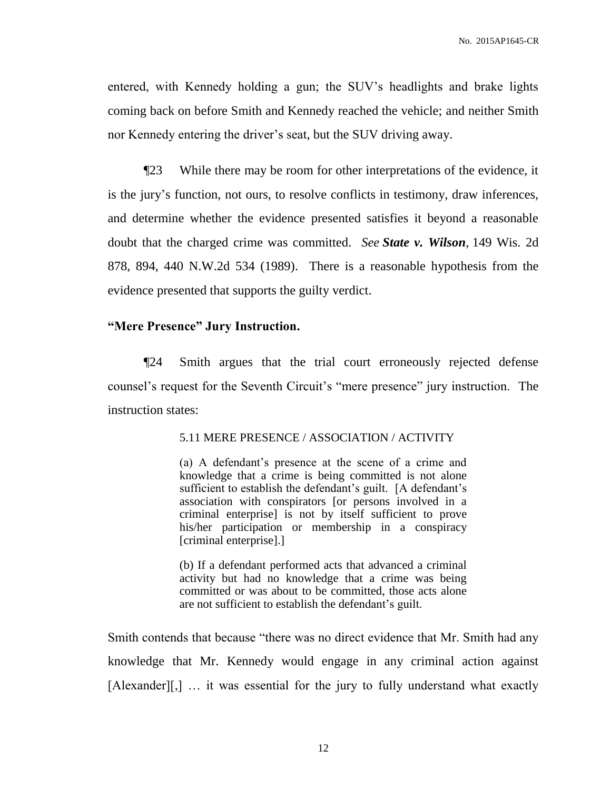entered, with Kennedy holding a gun; the SUV's headlights and brake lights coming back on before Smith and Kennedy reached the vehicle; and neither Smith nor Kennedy entering the driver's seat, but the SUV driving away.

¶23 While there may be room for other interpretations of the evidence, it is the jury's function, not ours, to resolve conflicts in testimony, draw inferences, and determine whether the evidence presented satisfies it beyond a reasonable doubt that the charged crime was committed. *See State v. Wilson*, 149 Wis. 2d 878, 894, 440 N.W.2d 534 (1989). There is a reasonable hypothesis from the evidence presented that supports the guilty verdict.

# **"Mere Presence" Jury Instruction.**

¶24 Smith argues that the trial court erroneously rejected defense counsel's request for the Seventh Circuit's "mere presence" jury instruction. The instruction states:

#### 5.11 MERE PRESENCE / ASSOCIATION / ACTIVITY

(a) A defendant's presence at the scene of a crime and knowledge that a crime is being committed is not alone sufficient to establish the defendant's guilt. [A defendant's association with conspirators [or persons involved in a criminal enterprise] is not by itself sufficient to prove his/her participation or membership in a conspiracy [criminal enterprise].]

(b) If a defendant performed acts that advanced a criminal activity but had no knowledge that a crime was being committed or was about to be committed, those acts alone are not sufficient to establish the defendant's guilt.

Smith contends that because "there was no direct evidence that Mr. Smith had any knowledge that Mr. Kennedy would engage in any criminal action against [Alexander][,] … it was essential for the jury to fully understand what exactly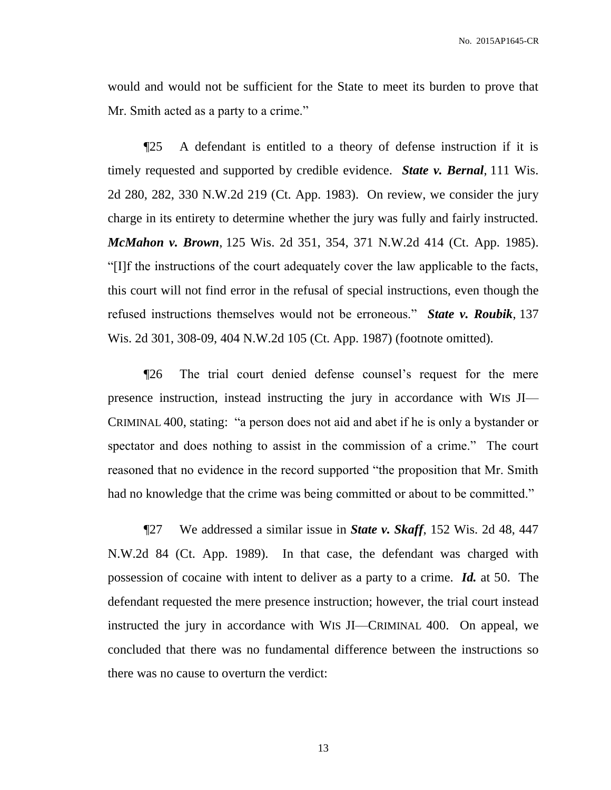would and would not be sufficient for the State to meet its burden to prove that Mr. Smith acted as a party to a crime."

¶25 A defendant is entitled to a theory of defense instruction if it is timely requested and supported by credible evidence. *State v. Bernal*, 111 Wis. 2d 280, 282, 330 N.W.2d 219 (Ct. App. 1983). On review, we consider the jury charge in its entirety to determine whether the jury was fully and fairly instructed. *McMahon v. Brown*, 125 Wis. 2d 351, 354, 371 N.W.2d 414 (Ct. App. 1985). "[I]f the instructions of the court adequately cover the law applicable to the facts, this court will not find error in the refusal of special instructions, even though the refused instructions themselves would not be erroneous." *State v. Roubik*, 137 Wis. 2d 301, 308-09, 404 N.W.2d 105 (Ct. App. 1987) (footnote omitted).

¶26 The trial court denied defense counsel's request for the mere presence instruction, instead instructing the jury in accordance with WIS JI— CRIMINAL 400, stating: "a person does not aid and abet if he is only a bystander or spectator and does nothing to assist in the commission of a crime." The court reasoned that no evidence in the record supported "the proposition that Mr. Smith had no knowledge that the crime was being committed or about to be committed."

¶27 We addressed a similar issue in *State v. Skaff*, 152 Wis. 2d 48, 447 N.W.2d 84 (Ct. App. 1989). In that case, the defendant was charged with possession of cocaine with intent to deliver as a party to a crime. *Id.* at 50. The defendant requested the mere presence instruction; however, the trial court instead instructed the jury in accordance with WIS JI—CRIMINAL 400. On appeal, we concluded that there was no fundamental difference between the instructions so there was no cause to overturn the verdict: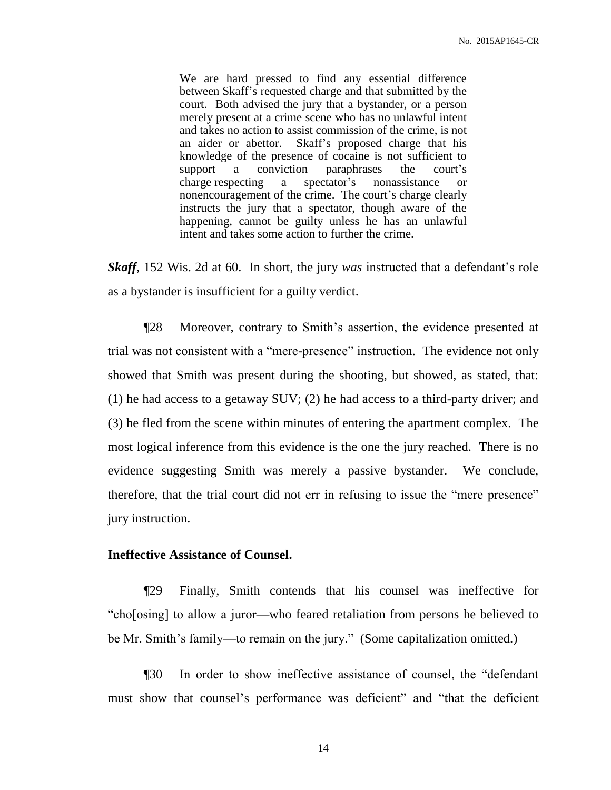We are hard pressed to find any essential difference between Skaff's requested charge and that submitted by the court. Both advised the jury that a bystander, or a person merely present at a crime scene who has no unlawful intent and takes no action to assist commission of the crime, is not an aider or abettor. Skaff's proposed charge that his knowledge of the presence of cocaine is not sufficient to support a conviction paraphrases the court's charge respecting a spectator's nonassistance or nonencouragement of the crime. The court's charge clearly instructs the jury that a spectator, though aware of the happening, cannot be guilty unless he has an unlawful intent and takes some action to further the crime.

*Skaff*, 152 Wis. 2d at 60. In short, the jury *was* instructed that a defendant's role as a bystander is insufficient for a guilty verdict.

¶28 Moreover, contrary to Smith's assertion, the evidence presented at trial was not consistent with a "mere-presence" instruction. The evidence not only showed that Smith was present during the shooting, but showed, as stated, that: (1) he had access to a getaway SUV; (2) he had access to a third-party driver; and (3) he fled from the scene within minutes of entering the apartment complex. The most logical inference from this evidence is the one the jury reached. There is no evidence suggesting Smith was merely a passive bystander. We conclude, therefore, that the trial court did not err in refusing to issue the "mere presence" jury instruction.

# **Ineffective Assistance of Counsel.**

¶29 Finally, Smith contends that his counsel was ineffective for "cho[osing] to allow a juror—who feared retaliation from persons he believed to be Mr. Smith's family—to remain on the jury." (Some capitalization omitted.)

¶30 In order to show ineffective assistance of counsel, the "defendant must show that counsel's performance was deficient" and "that the deficient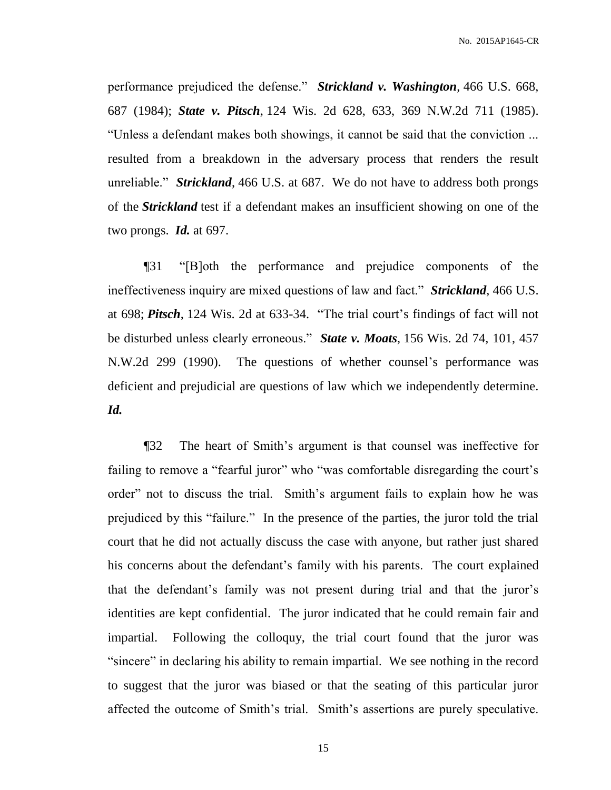performance prejudiced the defense." *Strickland v. Washington*, 466 U.S. 668, 687 (1984); *State v. Pitsch*, 124 Wis. 2d 628, 633, 369 N.W.2d 711 (1985). "Unless a defendant makes both showings, it cannot be said that the conviction ... resulted from a breakdown in the adversary process that renders the result unreliable." *Strickland*, 466 U.S. at 687. We do not have to address both prongs of the *Strickland* test if a defendant makes an insufficient showing on one of the two prongs. *Id.* at 697.

¶31 "[B]oth the performance and prejudice components of the ineffectiveness inquiry are mixed questions of law and fact." *Strickland*, 466 U.S. at 698; *Pitsch*, 124 Wis. 2d at 633-34. "The trial court's findings of fact will not be disturbed unless clearly erroneous." *State v. Moats*, 156 Wis. 2d 74, 101, 457 N.W.2d 299 (1990). The questions of whether counsel's performance was deficient and prejudicial are questions of law which we independently determine. *Id.*

¶32 The heart of Smith's argument is that counsel was ineffective for failing to remove a "fearful juror" who "was comfortable disregarding the court's order" not to discuss the trial. Smith's argument fails to explain how he was prejudiced by this "failure." In the presence of the parties, the juror told the trial court that he did not actually discuss the case with anyone, but rather just shared his concerns about the defendant's family with his parents. The court explained that the defendant's family was not present during trial and that the juror's identities are kept confidential. The juror indicated that he could remain fair and impartial. Following the colloquy, the trial court found that the juror was "sincere" in declaring his ability to remain impartial. We see nothing in the record to suggest that the juror was biased or that the seating of this particular juror affected the outcome of Smith's trial. Smith's assertions are purely speculative.